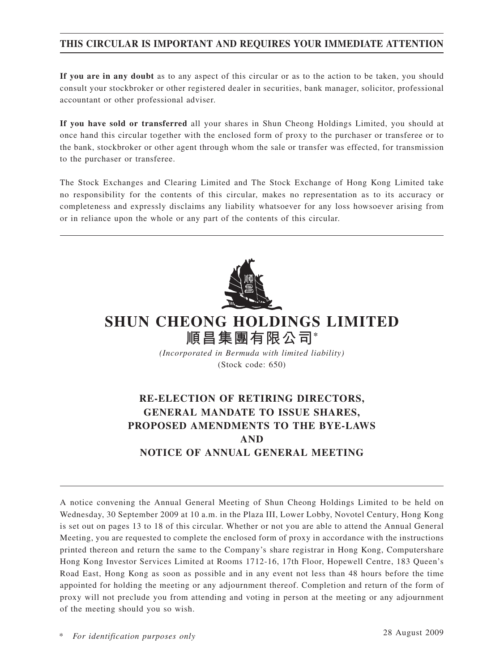## **THIS CIRCULAR IS IMPORTANT AND REQUIRES YOUR IMMEDIATE ATTENTION**

**If you are in any doubt** as to any aspect of this circular or as to the action to be taken, you should consult your stockbroker or other registered dealer in securities, bank manager, solicitor, professional accountant or other professional adviser.

**If you have sold or transferred** all your shares in Shun Cheong Holdings Limited, you should at once hand this circular together with the enclosed form of proxy to the purchaser or transferee or to the bank, stockbroker or other agent through whom the sale or transfer was effected, for transmission to the purchaser or transferee.

The Stock Exchanges and Clearing Limited and The Stock Exchange of Hong Kong Limited take no responsibility for the contents of this circular, makes no representation as to its accuracy or completeness and expressly disclaims any liability whatsoever for any loss howsoever arising from or in reliance upon the whole or any part of the contents of this circular.



# **SHUN CHEONG HOLDINGS LIMITED**

**順昌集團有限公司\*** *(Incorporated in Bermuda with limited liability)* (Stock code: 650)

## **RE-ELECTION OF RETIRING DIRECTORS, GENERAL MANDATE TO ISSUE SHARES, PROPOSED AMENDMENTS TO THE BYE-LAWS AND NOTICE OF ANNUAL GENERAL MEETING**

A notice convening the Annual General Meeting of Shun Cheong Holdings Limited to be held on Wednesday, 30 September 2009 at 10 a.m. in the Plaza III, Lower Lobby, Novotel Century, Hong Kong is set out on pages 13 to 18 of this circular. Whether or not you are able to attend the Annual General Meeting, you are requested to complete the enclosed form of proxy in accordance with the instructions printed thereon and return the same to the Company's share registrar in Hong Kong, Computershare Hong Kong Investor Services Limited at Rooms 1712-16, 17th Floor, Hopewell Centre, 183 Queen's Road East, Hong Kong as soon as possible and in any event not less than 48 hours before the time appointed for holding the meeting or any adjournment thereof. Completion and return of the form of proxy will not preclude you from attending and voting in person at the meeting or any adjournment of the meeting should you so wish.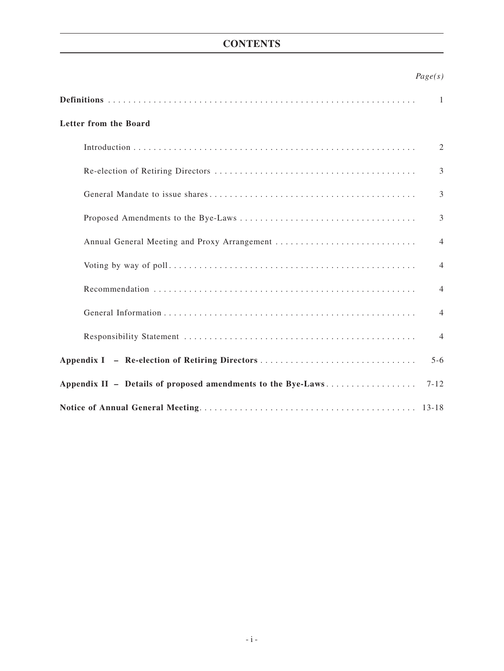## **CONTENTS**

## *Page(s)*

|                                                                          | 1              |  |
|--------------------------------------------------------------------------|----------------|--|
| Letter from the Board                                                    |                |  |
|                                                                          | 2              |  |
|                                                                          | 3              |  |
|                                                                          | 3              |  |
|                                                                          | 3              |  |
| Annual General Meeting and Proxy Arrangement                             | $\overline{4}$ |  |
|                                                                          | $\overline{4}$ |  |
|                                                                          | $\overline{4}$ |  |
|                                                                          | $\overline{4}$ |  |
|                                                                          | $\overline{4}$ |  |
| Appendix I - Re-election of Retiring Directors<br>$5-6$                  |                |  |
| Appendix II - Details of proposed amendments to the Bye-Laws<br>$7 - 12$ |                |  |
|                                                                          |                |  |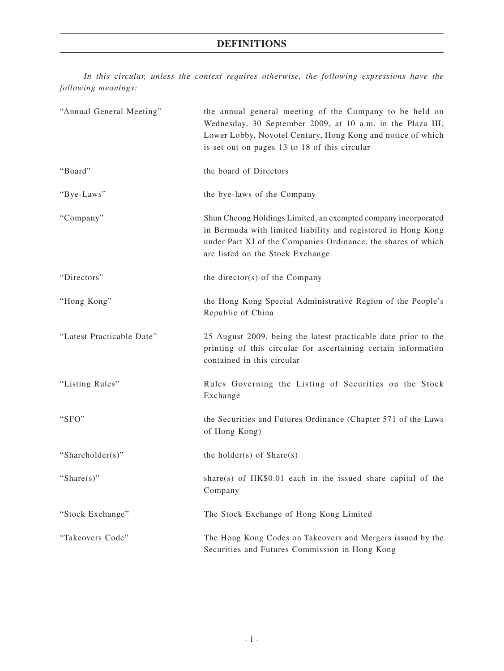## **Definitions**

*In this circular, unless the context requires otherwise, the following expressions have the following meanings:*

| "Annual General Meeting"  | the annual general meeting of the Company to be held on<br>Wednesday, 30 September 2009, at 10 a.m. in the Plaza III,<br>Lower Lobby, Novotel Century, Hong Kong and notice of which<br>is set out on pages 13 to 18 of this circular |
|---------------------------|---------------------------------------------------------------------------------------------------------------------------------------------------------------------------------------------------------------------------------------|
| "Board"                   | the board of Directors                                                                                                                                                                                                                |
| "Bye-Laws"                | the bye-laws of the Company                                                                                                                                                                                                           |
| "Company"                 | Shun Cheong Holdings Limited, an exempted company incorporated<br>in Bermuda with limited liability and registered in Hong Kong<br>under Part XI of the Companies Ordinance, the shares of which<br>are listed on the Stock Exchange  |
| "Directors"               | the director(s) of the Company                                                                                                                                                                                                        |
| "Hong Kong"               | the Hong Kong Special Administrative Region of the People's<br>Republic of China                                                                                                                                                      |
| "Latest Practicable Date" | 25 August 2009, being the latest practicable date prior to the<br>printing of this circular for ascertaining certain information<br>contained in this circular                                                                        |
| "Listing Rules"           | Rules Governing the Listing of Securities on the Stock<br>Exchange                                                                                                                                                                    |
| "SFO"                     | the Securities and Futures Ordinance (Chapter 571 of the Laws<br>of Hong Kong)                                                                                                                                                        |
| "Shareholder(s)"          | the holder(s) of $Share(s)$                                                                                                                                                                                                           |
| "Share $(s)$ "            | share(s) of HK\$0.01 each in the issued share capital of the<br>Company                                                                                                                                                               |
| "Stock Exchange"          | The Stock Exchange of Hong Kong Limited                                                                                                                                                                                               |
| "Takeovers Code"          | The Hong Kong Codes on Takeovers and Mergers issued by the<br>Securities and Futures Commission in Hong Kong                                                                                                                          |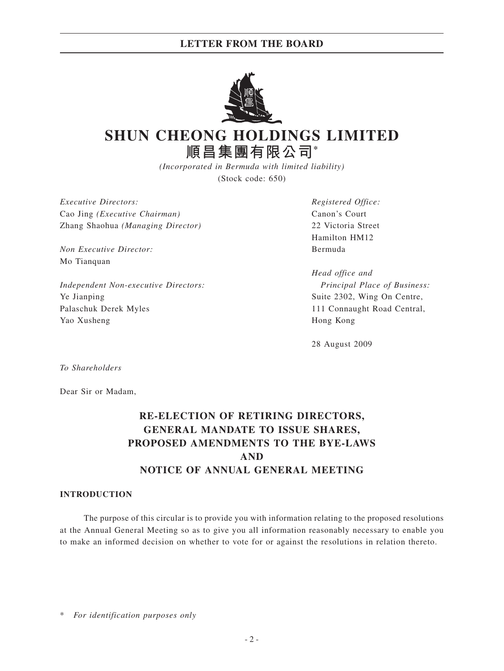## **LETTER FROM THE BOARD**



# **SHUN CHEONG HOLDINGS LIMITED 順昌集團有限公司\***

*(Incorporated in Bermuda with limited liability)* (Stock code: 650)

*Executive Directors: Registered Office:* Cao Jing *(Executive Chairman)* Canon's Court Zhang Shaohua *(Managing Director)* 22 Victoria Street

*Non Executive Director:* Bermuda Mo Tianquan

*Independent Non-executive Directors: Principal Place of Business:* Ye Jianping Suite 2302, Wing On Centre, Palaschuk Derek Myles 111 Connaught Road Central, Yao Xusheng Hong Kong

Hamilton HM12

*Head office and*

28 August 2009

*To Shareholders*

Dear Sir or Madam,

## **RE-ELECTION OF RETIRING DIRECTORS, GENERAL MANDATE TO ISSUE SHARES, PROPOSED AMENDMENTS TO THE BYE-LAWS AND NOTICE OF ANNUAL GENERAL MEETING**

### **INTRODUCTION**

The purpose of this circular is to provide you with information relating to the proposed resolutions at the Annual General Meeting so as to give you all information reasonably necessary to enable you to make an informed decision on whether to vote for or against the resolutions in relation thereto.

 $For$  *identification purposes only*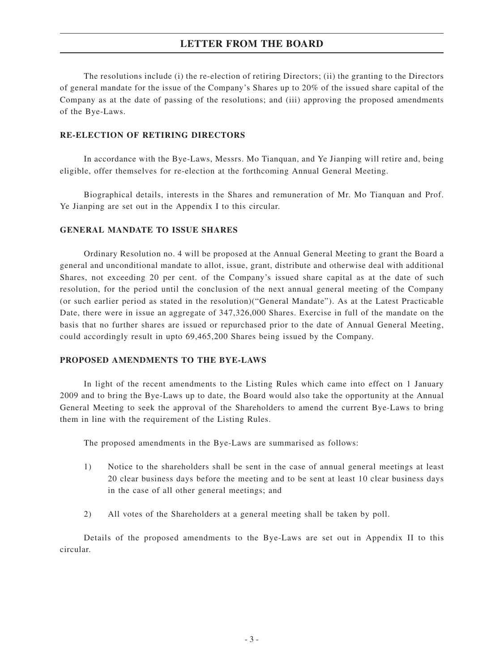## **LETTER FROM THE BOARD**

The resolutions include (i) the re-election of retiring Directors; (ii) the granting to the Directors of general mandate for the issue of the Company's Shares up to 20% of the issued share capital of the Company as at the date of passing of the resolutions; and (iii) approving the proposed amendments of the Bye-Laws.

### **RE-ELECTION OF RETIRING DIRECTORS**

In accordance with the Bye-Laws, Messrs. Mo Tianquan, and Ye Jianping will retire and, being eligible, offer themselves for re-election at the forthcoming Annual General Meeting.

Biographical details, interests in the Shares and remuneration of Mr. Mo Tianquan and Prof. Ye Jianping are set out in the Appendix I to this circular.

### **GENERAL MANDATE TO ISSUE SHARES**

Ordinary Resolution no. 4 will be proposed at the Annual General Meeting to grant the Board a general and unconditional mandate to allot, issue, grant, distribute and otherwise deal with additional Shares, not exceeding 20 per cent. of the Company's issued share capital as at the date of such resolution, for the period until the conclusion of the next annual general meeting of the Company (or such earlier period as stated in the resolution)("General Mandate"). As at the Latest Practicable Date, there were in issue an aggregate of 347,326,000 Shares. Exercise in full of the mandate on the basis that no further shares are issued or repurchased prior to the date of Annual General Meeting, could accordingly result in upto 69,465,200 Shares being issued by the Company.

### **PROPOSED AMENDMENTS TO THE BYE-LAWS**

In light of the recent amendments to the Listing Rules which came into effect on 1 January 2009 and to bring the Bye-Laws up to date, the Board would also take the opportunity at the Annual General Meeting to seek the approval of the Shareholders to amend the current Bye-Laws to bring them in line with the requirement of the Listing Rules.

The proposed amendments in the Bye-Laws are summarised as follows:

- 1) Notice to the shareholders shall be sent in the case of annual general meetings at least 20 clear business days before the meeting and to be sent at least 10 clear business days in the case of all other general meetings; and
- 2) All votes of the Shareholders at a general meeting shall be taken by poll.

Details of the proposed amendments to the Bye-Laws are set out in Appendix II to this circular.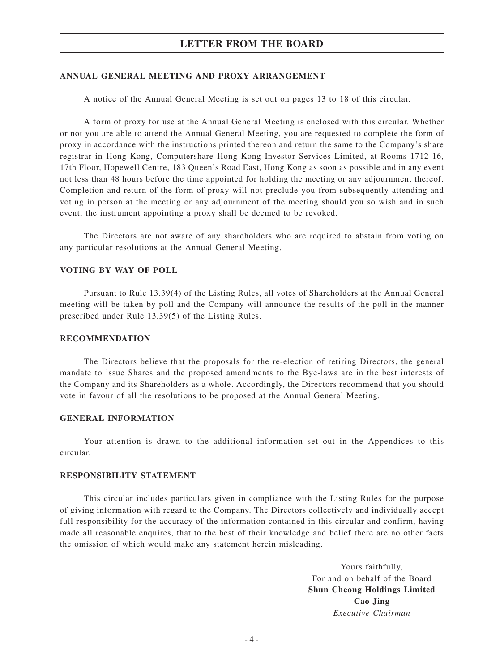### **ANNUAL GENERAL MEETING AND PROXY ARRANGEMENT**

A notice of the Annual General Meeting is set out on pages 13 to 18 of this circular.

A form of proxy for use at the Annual General Meeting is enclosed with this circular. Whether or not you are able to attend the Annual General Meeting, you are requested to complete the form of proxy in accordance with the instructions printed thereon and return the same to the Company's share registrar in Hong Kong, Computershare Hong Kong Investor Services Limited, at Rooms 1712-16, 17th Floor, Hopewell Centre, 183 Queen's Road East, Hong Kong as soon as possible and in any event not less than 48 hours before the time appointed for holding the meeting or any adjournment thereof. Completion and return of the form of proxy will not preclude you from subsequently attending and voting in person at the meeting or any adjournment of the meeting should you so wish and in such event, the instrument appointing a proxy shall be deemed to be revoked.

The Directors are not aware of any shareholders who are required to abstain from voting on any particular resolutions at the Annual General Meeting.

### **VOTING BY WAY OF POLL**

Pursuant to Rule 13.39(4) of the Listing Rules, all votes of Shareholders at the Annual General meeting will be taken by poll and the Company will announce the results of the poll in the manner prescribed under Rule 13.39(5) of the Listing Rules.

### **RECOMMENDATION**

The Directors believe that the proposals for the re-election of retiring Directors, the general mandate to issue Shares and the proposed amendments to the Bye-laws are in the best interests of the Company and its Shareholders as a whole. Accordingly, the Directors recommend that you should vote in favour of all the resolutions to be proposed at the Annual General Meeting.

### **GENERAL INFORMATION**

Your attention is drawn to the additional information set out in the Appendices to this circular.

### **RESPONSIBILITY STATEMENT**

This circular includes particulars given in compliance with the Listing Rules for the purpose of giving information with regard to the Company. The Directors collectively and individually accept full responsibility for the accuracy of the information contained in this circular and confirm, having made all reasonable enquires, that to the best of their knowledge and belief there are no other facts the omission of which would make any statement herein misleading.

> Yours faithfully, For and on behalf of the Board **Shun Cheong Holdings Limited Cao Jing** *Executive Chairman*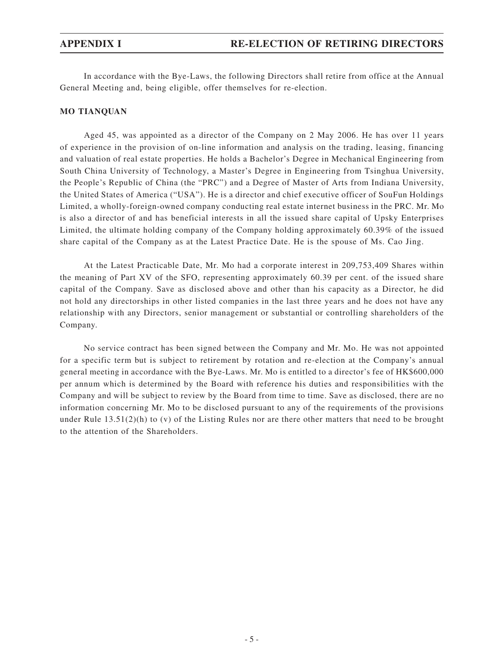In accordance with the Bye-Laws, the following Directors shall retire from office at the Annual General Meeting and, being eligible, offer themselves for re-election.

### **MO Tianquan**

Aged 45, was appointed as a director of the Company on 2 May 2006. He has over 11 years of experience in the provision of on-line information and analysis on the trading, leasing, financing and valuation of real estate properties. He holds a Bachelor's Degree in Mechanical Engineering from South China University of Technology, a Master's Degree in Engineering from Tsinghua University, the People's Republic of China (the "PRC") and a Degree of Master of Arts from Indiana University, the United States of America ("USA"). He is a director and chief executive officer of SouFun Holdings Limited, a wholly-foreign-owned company conducting real estate internet business in the PRC. Mr. Mo is also a director of and has beneficial interests in all the issued share capital of Upsky Enterprises Limited, the ultimate holding company of the Company holding approximately 60.39% of the issued share capital of the Company as at the Latest Practice Date. He is the spouse of Ms. Cao Jing.

At the Latest Practicable Date, Mr. Mo had a corporate interest in 209,753,409 Shares within the meaning of Part XV of the SFO, representing approximately 60.39 per cent. of the issued share capital of the Company. Save as disclosed above and other than his capacity as a Director, he did not hold any directorships in other listed companies in the last three years and he does not have any relationship with any Directors, senior management or substantial or controlling shareholders of the Company.

No service contract has been signed between the Company and Mr. Mo. He was not appointed for a specific term but is subject to retirement by rotation and re-election at the Company's annual general meeting in accordance with the Bye-Laws. Mr. Mo is entitled to a director's fee of HK\$600,000 per annum which is determined by the Board with reference his duties and responsibilities with the Company and will be subject to review by the Board from time to time. Save as disclosed, there are no information concerning Mr. Mo to be disclosed pursuant to any of the requirements of the provisions under Rule  $13.51(2)(h)$  to (v) of the Listing Rules nor are there other matters that need to be brought to the attention of the Shareholders.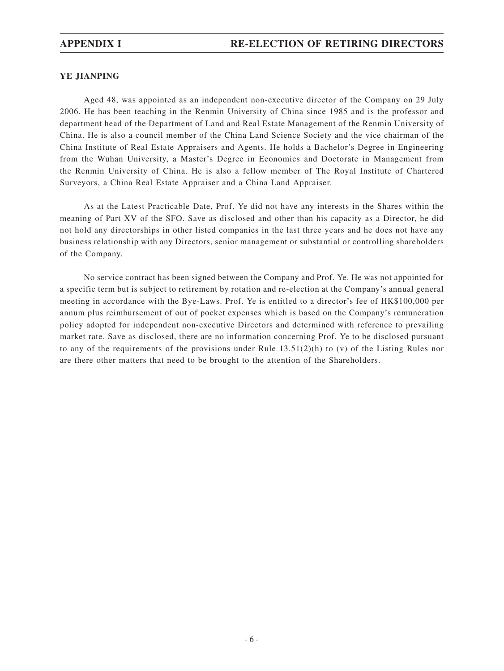### **YE Jianping**

Aged 48, was appointed as an independent non-executive director of the Company on 29 July 2006. He has been teaching in the Renmin University of China since 1985 and is the professor and department head of the Department of Land and Real Estate Management of the Renmin University of China. He is also a council member of the China Land Science Society and the vice chairman of the China Institute of Real Estate Appraisers and Agents. He holds a Bachelor's Degree in Engineering from the Wuhan University, a Master's Degree in Economics and Doctorate in Management from the Renmin University of China. He is also a fellow member of The Royal Institute of Chartered Surveyors, a China Real Estate Appraiser and a China Land Appraiser.

As at the Latest Practicable Date, Prof. Ye did not have any interests in the Shares within the meaning of Part XV of the SFO. Save as disclosed and other than his capacity as a Director, he did not hold any directorships in other listed companies in the last three years and he does not have any business relationship with any Directors, senior management or substantial or controlling shareholders of the Company.

No service contract has been signed between the Company and Prof. Ye. He was not appointed for a specific term but is subject to retirement by rotation and re-election at the Company's annual general meeting in accordance with the Bye-Laws. Prof. Ye is entitled to a director's fee of HK\$100,000 per annum plus reimbursement of out of pocket expenses which is based on the Company's remuneration policy adopted for independent non-executive Directors and determined with reference to prevailing market rate. Save as disclosed, there are no information concerning Prof. Ye to be disclosed pursuant to any of the requirements of the provisions under Rule  $13.51(2)(h)$  to (v) of the Listing Rules nor are there other matters that need to be brought to the attention of the Shareholders.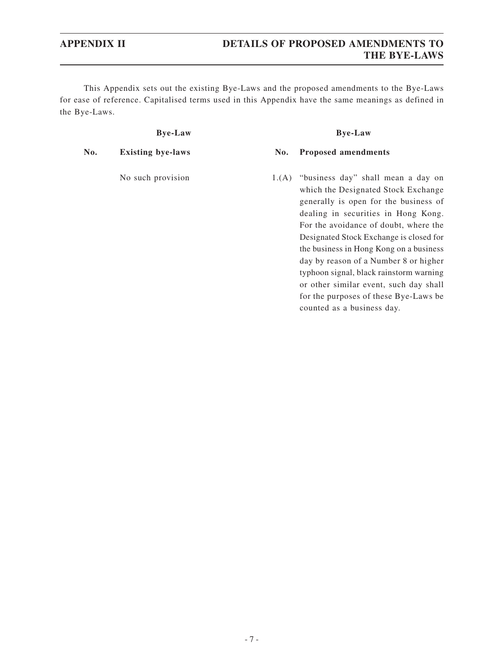This Appendix sets out the existing Bye-Laws and the proposed amendments to the Bye-Laws for ease of reference. Capitalised terms used in this Appendix have the same meanings as defined in the Bye-Laws.

### **Bye-Law Bye-Law**

### **No. Existing bye-laws No. Proposed amendments**

No such provision 1.(A) "business day" shall mean a day on which the Designated Stock Exchange generally is open for the business of dealing in securities in Hong Kong. For the avoidance of doubt, where the Designated Stock Exchange is closed for the business in Hong Kong on a business day by reason of a Number 8 or higher typhoon signal, black rainstorm warning or other similar event, such day shall for the purposes of these Bye-Laws be counted as a business day.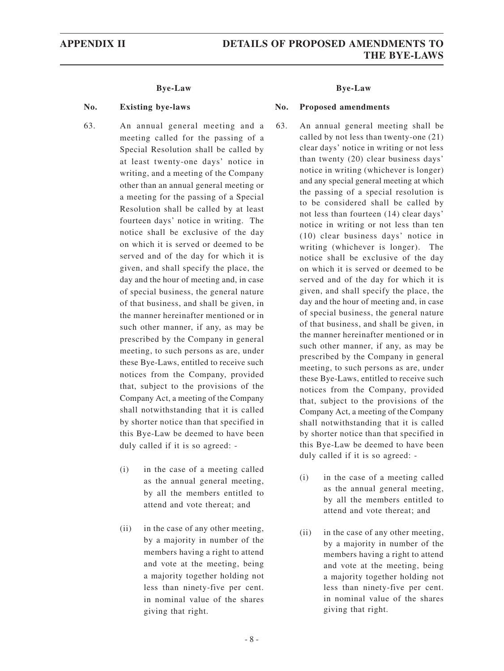- 63. An annual general meeting and a meeting called for the passing of a Special Resolution shall be called by at least twenty-one days' notice in writing, and a meeting of the Company other than an annual general meeting or a meeting for the passing of a Special Resolution shall be called by at least fourteen days' notice in writing. The notice shall be exclusive of the day on which it is served or deemed to be served and of the day for which it is given, and shall specify the place, the day and the hour of meeting and, in case of special business, the general nature of that business, and shall be given, in the manner hereinafter mentioned or in such other manner, if any, as may be prescribed by the Company in general meeting, to such persons as are, under these Bye-Laws, entitled to receive such notices from the Company, provided that, subject to the provisions of the Company Act, a meeting of the Company shall notwithstanding that it is called by shorter notice than that specified in this Bye-Law be deemed to have been duly called if it is so agreed: -
	- (i) in the case of a meeting called as the annual general meeting, by all the members entitled to attend and vote thereat; and
	- (ii) in the case of any other meeting, by a majority in number of the members having a right to attend and vote at the meeting, being a majority together holding not less than ninety-five per cent. in nominal value of the shares giving that right.

#### **No. Existing bye-laws No. Proposed amendments**

- 63. An annual general meeting shall be called by not less than twenty-one (21) clear days' notice in writing or not less than twenty (20) clear business days' notice in writing (whichever is longer) and any special general meeting at which the passing of a special resolution is to be considered shall be called by not less than fourteen (14) clear days' notice in writing or not less than ten (10) clear business days' notice in writing (whichever is longer). The notice shall be exclusive of the day on which it is served or deemed to be served and of the day for which it is given, and shall specify the place, the day and the hour of meeting and, in case of special business, the general nature of that business, and shall be given, in the manner hereinafter mentioned or in such other manner, if any, as may be prescribed by the Company in general meeting, to such persons as are, under these Bye-Laws, entitled to receive such notices from the Company, provided that, subject to the provisions of the Company Act, a meeting of the Company shall notwithstanding that it is called by shorter notice than that specified in this Bye-Law be deemed to have been duly called if it is so agreed: -
	- (i) in the case of a meeting called as the annual general meeting, by all the members entitled to attend and vote thereat; and
	- (ii) in the case of any other meeting, by a majority in number of the members having a right to attend and vote at the meeting, being a majority together holding not less than ninety-five per cent. in nominal value of the shares giving that right.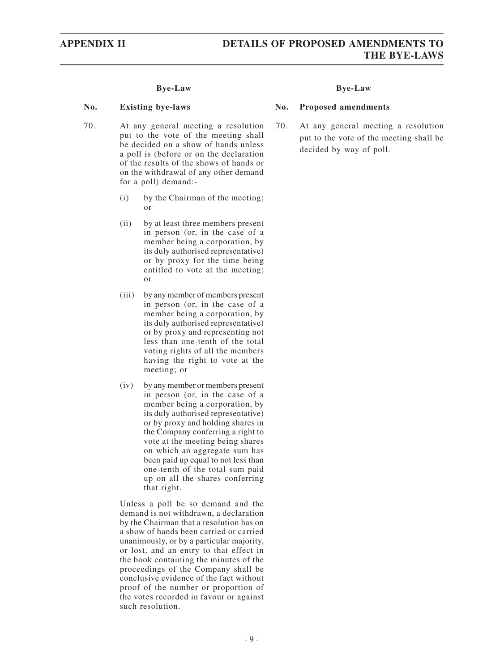#### **No. Existing bye-laws No. Proposed amendments**

- 70. At any general meeting a resolution put to the vote of the meeting shall be decided on a show of hands unless a poll is (before or on the declaration of the results of the shows of hands or on the withdrawal of any other demand for a poll) demand:-
	- (i) by the Chairman of the meeting; or
	- (ii) by at least three members present in person (or, in the case of a member being a corporation, by its duly authorised representative) or by proxy for the time being entitled to vote at the meeting; or
	- (iii) by any member of members present in person (or, in the case of a member being a corporation, by its duly authorised representative) or by proxy and representing not less than one-tenth of the total voting rights of all the members having the right to vote at the meeting; or
	- (iv) by any member or members present in person (or, in the case of a member being a corporation, by its duly authorised representative) or by proxy and holding shares in the Company conferring a right to vote at the meeting being shares on which an aggregate sum has been paid up equal to not less than one-tenth of the total sum paid up on all the shares conferring that right.

Unless a poll be so demand and the demand is not withdrawn, a declaration by the Chairman that a resolution has on a show of hands been carried or carried unanimously, or by a particular majority, or lost, and an entry to that effect in the book containing the minutes of the proceedings of the Company shall be conclusive evidence of the fact without proof of the number or proportion of the votes recorded in favour or against such resolution.

70. At any general meeting a resolution put to the vote of the meeting shall be decided by way of poll.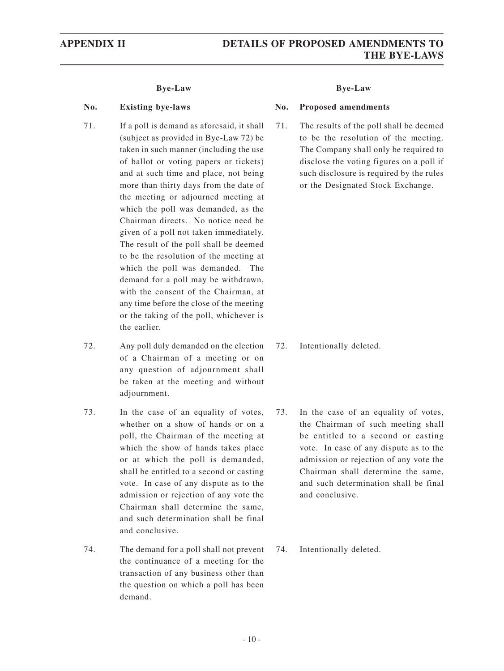#### **No. Existing bye-laws No. Proposed amendments**

- 71. If a poll is demand as aforesaid, it shall (subject as provided in Bye-Law 72) be taken in such manner (including the use of ballot or voting papers or tickets) and at such time and place, not being more than thirty days from the date of the meeting or adjourned meeting at which the poll was demanded, as the Chairman directs. No notice need be given of a poll not taken immediately. The result of the poll shall be deemed to be the resolution of the meeting at which the poll was demanded. The demand for a poll may be withdrawn, with the consent of the Chairman, at any time before the close of the meeting or the taking of the poll, whichever is the earlier.
- 72. Any poll duly demanded on the election of a Chairman of a meeting or on any question of adjournment shall be taken at the meeting and without adjournment.
- 73. In the case of an equality of votes, whether on a show of hands or on a poll, the Chairman of the meeting at which the show of hands takes place or at which the poll is demanded, shall be entitled to a second or casting vote. In case of any dispute as to the admission or rejection of any vote the Chairman shall determine the same, and such determination shall be final and conclusive.
- 74. The demand for a poll shall not prevent the continuance of a meeting for the transaction of any business other than the question on which a poll has been demand.

71. The results of the poll shall be deemed to be the resolution of the meeting. The Company shall only be required to disclose the voting figures on a poll if such disclosure is required by the rules or the Designated Stock Exchange.

- 72. Intentionally deleted.
- 73. In the case of an equality of votes, the Chairman of such meeting shall be entitled to a second or casting vote. In case of any dispute as to the admission or rejection of any vote the Chairman shall determine the same, and such determination shall be final and conclusive.
- 74. Intentionally deleted.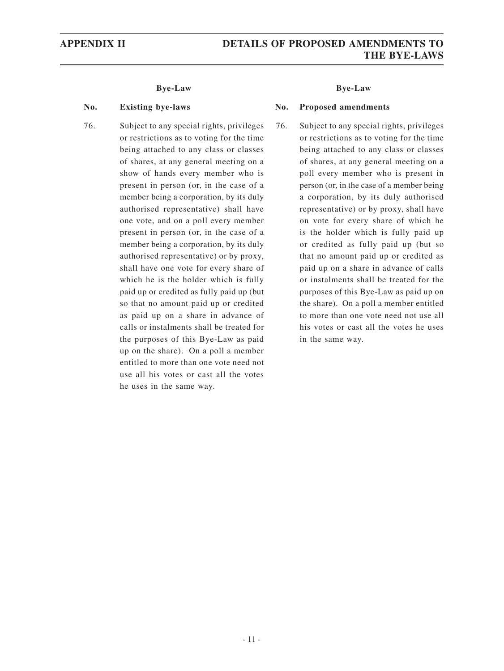76. Subject to any special rights, privileges or restrictions as to voting for the time being attached to any class or classes of shares, at any general meeting on a show of hands every member who is present in person (or, in the case of a member being a corporation, by its duly authorised representative) shall have one vote, and on a poll every member present in person (or, in the case of a member being a corporation, by its duly authorised representative) or by proxy, shall have one vote for every share of which he is the holder which is fully paid up or credited as fully paid up (but so that no amount paid up or credited as paid up on a share in advance of calls or instalments shall be treated for the purposes of this Bye-Law as paid up on the share). On a poll a member entitled to more than one vote need not use all his votes or cast all the votes he uses in the same way.

#### **No. Existing bye-laws No. Proposed amendments**

76. Subject to any special rights, privileges or restrictions as to voting for the time being attached to any class or classes of shares, at any general meeting on a poll every member who is present in person (or, in the case of a member being a corporation, by its duly authorised representative) or by proxy, shall have on vote for every share of which he is the holder which is fully paid up or credited as fully paid up (but so that no amount paid up or credited as paid up on a share in advance of calls or instalments shall be treated for the purposes of this Bye-Law as paid up on the share). On a poll a member entitled to more than one vote need not use all his votes or cast all the votes he uses in the same way.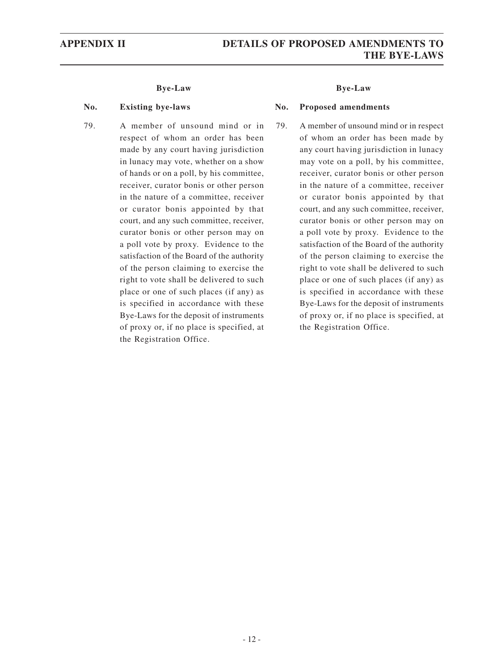79. A member of unsound mind or in respect of whom an order has been made by any court having jurisdiction in lunacy may vote, whether on a show of hands or on a poll, by his committee, receiver, curator bonis or other person in the nature of a committee, receiver or curator bonis appointed by that court, and any such committee, receiver, curator bonis or other person may on a poll vote by proxy. Evidence to the satisfaction of the Board of the authority of the person claiming to exercise the right to vote shall be delivered to such place or one of such places (if any) as is specified in accordance with these Bye-Laws for the deposit of instruments of proxy or, if no place is specified, at the Registration Office.

#### **No. Existing bye-laws No. Proposed amendments**

79. A member of unsound mind or in respect of whom an order has been made by any court having jurisdiction in lunacy may vote on a poll, by his committee, receiver, curator bonis or other person in the nature of a committee, receiver or curator bonis appointed by that court, and any such committee, receiver, curator bonis or other person may on a poll vote by proxy. Evidence to the satisfaction of the Board of the authority of the person claiming to exercise the right to vote shall be delivered to such place or one of such places (if any) as is specified in accordance with these Bye-Laws for the deposit of instruments of proxy or, if no place is specified, at the Registration Office.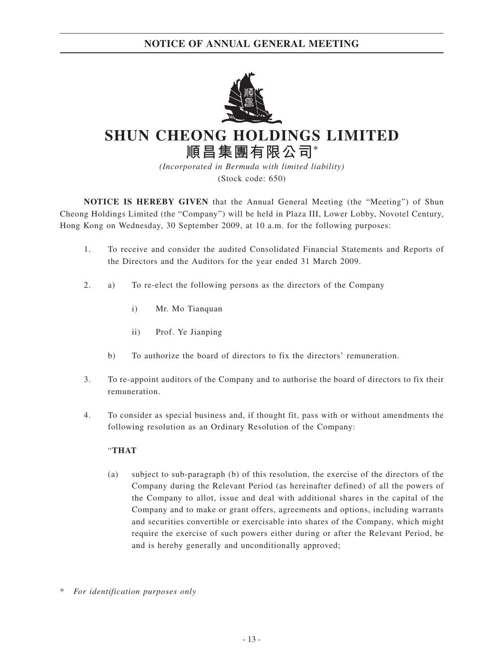

# **SHUN CHEONG HOLDINGS LIMITED 順昌集團有限公司\***

*(Incorporated in Bermuda with limited liability)* (Stock code: 650)

**NOTICE IS HEREBY GIVEN** that the Annual General Meeting (the "Meeting") of Shun Cheong Holdings Limited (the "Company") will be held in Plaza III, Lower Lobby, Novotel Century, Hong Kong on Wednesday, 30 September 2009, at 10 a.m. for the following purposes:

- 1. To receive and consider the audited Consolidated Financial Statements and Reports of the Directors and the Auditors for the year ended 31 March 2009.
- 2. a) To re-elect the following persons as the directors of the Company
	- i) Mr. Mo Tianquan
	- ii) Prof. Ye Jianping
	- b) To authorize the board of directors to fix the directors' remuneration.
- 3. To re-appoint auditors of the Company and to authorise the board of directors to fix their remuneration.
- 4. To consider as special business and, if thought fit, pass with or without amendments the following resolution as an Ordinary Resolution of the Company:

### "**THAT**

- (a) subject to sub-paragraph (b) of this resolution, the exercise of the directors of the Company during the Relevant Period (as hereinafter defined) of all the powers of the Company to allot, issue and deal with additional shares in the capital of the Company and to make or grant offers, agreements and options, including warrants and securities convertible or exercisable into shares of the Company, which might require the exercise of such powers either during or after the Relevant Period, be and is hereby generally and unconditionally approved;
- $\overline{F}$  *For identification purposes only*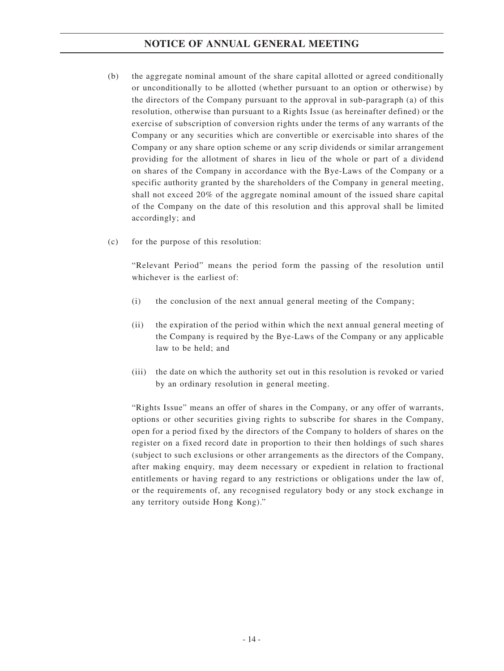- (b) the aggregate nominal amount of the share capital allotted or agreed conditionally or unconditionally to be allotted (whether pursuant to an option or otherwise) by the directors of the Company pursuant to the approval in sub-paragraph (a) of this resolution, otherwise than pursuant to a Rights Issue (as hereinafter defined) or the exercise of subscription of conversion rights under the terms of any warrants of the Company or any securities which are convertible or exercisable into shares of the Company or any share option scheme or any scrip dividends or similar arrangement providing for the allotment of shares in lieu of the whole or part of a dividend on shares of the Company in accordance with the Bye-Laws of the Company or a specific authority granted by the shareholders of the Company in general meeting, shall not exceed 20% of the aggregate nominal amount of the issued share capital of the Company on the date of this resolution and this approval shall be limited accordingly; and
- (c) for the purpose of this resolution:

"Relevant Period" means the period form the passing of the resolution until whichever is the earliest of:

- (i) the conclusion of the next annual general meeting of the Company;
- (ii) the expiration of the period within which the next annual general meeting of the Company is required by the Bye-Laws of the Company or any applicable law to be held; and
- (iii) the date on which the authority set out in this resolution is revoked or varied by an ordinary resolution in general meeting.

"Rights Issue" means an offer of shares in the Company, or any offer of warrants, options or other securities giving rights to subscribe for shares in the Company, open for a period fixed by the directors of the Company to holders of shares on the register on a fixed record date in proportion to their then holdings of such shares (subject to such exclusions or other arrangements as the directors of the Company, after making enquiry, may deem necessary or expedient in relation to fractional entitlements or having regard to any restrictions or obligations under the law of, or the requirements of, any recognised regulatory body or any stock exchange in any territory outside Hong Kong)."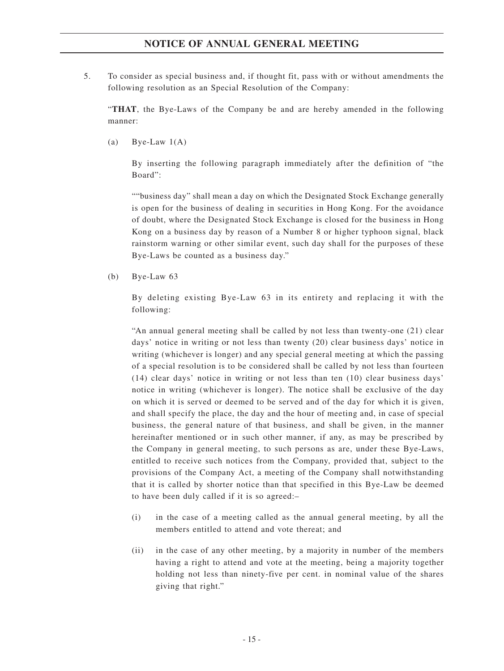5. To consider as special business and, if thought fit, pass with or without amendments the following resolution as an Special Resolution of the Company:

"**THAT**, the Bye-Laws of the Company be and are hereby amended in the following manner:

(a) Bye-Law  $1(A)$ 

By inserting the following paragraph immediately after the definition of "the Board":

""business day" shall mean a day on which the Designated Stock Exchange generally is open for the business of dealing in securities in Hong Kong. For the avoidance of doubt, where the Designated Stock Exchange is closed for the business in Hong Kong on a business day by reason of a Number 8 or higher typhoon signal, black rainstorm warning or other similar event, such day shall for the purposes of these Bye-Laws be counted as a business day."

(b) Bye-Law 63

By deleting existing Bye-Law 63 in its entirety and replacing it with the following:

"An annual general meeting shall be called by not less than twenty-one (21) clear days' notice in writing or not less than twenty (20) clear business days' notice in writing (whichever is longer) and any special general meeting at which the passing of a special resolution is to be considered shall be called by not less than fourteen (14) clear days' notice in writing or not less than ten (10) clear business days' notice in writing (whichever is longer). The notice shall be exclusive of the day on which it is served or deemed to be served and of the day for which it is given, and shall specify the place, the day and the hour of meeting and, in case of special business, the general nature of that business, and shall be given, in the manner hereinafter mentioned or in such other manner, if any, as may be prescribed by the Company in general meeting, to such persons as are, under these Bye-Laws, entitled to receive such notices from the Company, provided that, subject to the provisions of the Company Act, a meeting of the Company shall notwithstanding that it is called by shorter notice than that specified in this Bye-Law be deemed to have been duly called if it is so agreed:–

- (i) in the case of a meeting called as the annual general meeting, by all the members entitled to attend and vote thereat; and
- (ii) in the case of any other meeting, by a majority in number of the members having a right to attend and vote at the meeting, being a majority together holding not less than ninety-five per cent. in nominal value of the shares giving that right."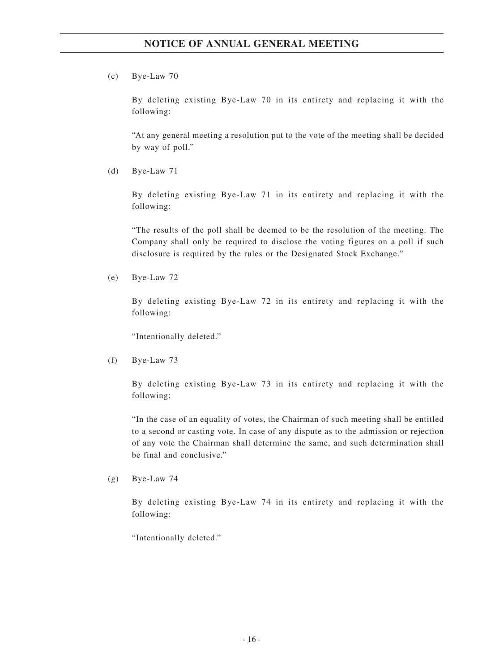(c) Bye-Law 70

By deleting existing Bye-Law 70 in its entirety and replacing it with the following:

"At any general meeting a resolution put to the vote of the meeting shall be decided by way of poll."

(d) Bye-Law 71

By deleting existing Bye-Law 71 in its entirety and replacing it with the following:

"The results of the poll shall be deemed to be the resolution of the meeting. The Company shall only be required to disclose the voting figures on a poll if such disclosure is required by the rules or the Designated Stock Exchange."

(e) Bye-Law 72

By deleting existing Bye-Law 72 in its entirety and replacing it with the following:

"Intentionally deleted."

(f) Bye-Law 73

By deleting existing Bye-Law 73 in its entirety and replacing it with the following:

"In the case of an equality of votes, the Chairman of such meeting shall be entitled to a second or casting vote. In case of any dispute as to the admission or rejection of any vote the Chairman shall determine the same, and such determination shall be final and conclusive."

 $(g)$  Bye-Law 74

By deleting existing Bye-Law 74 in its entirety and replacing it with the following:

"Intentionally deleted."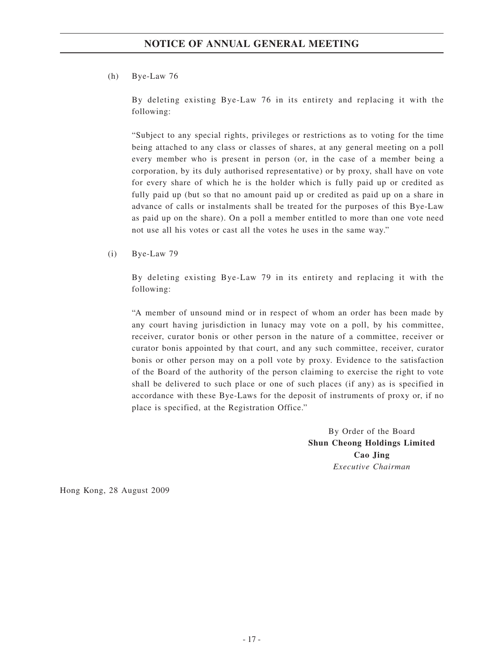### (h) Bye-Law 76

By deleting existing Bye-Law 76 in its entirety and replacing it with the following:

"Subject to any special rights, privileges or restrictions as to voting for the time being attached to any class or classes of shares, at any general meeting on a poll every member who is present in person (or, in the case of a member being a corporation, by its duly authorised representative) or by proxy, shall have on vote for every share of which he is the holder which is fully paid up or credited as fully paid up (but so that no amount paid up or credited as paid up on a share in advance of calls or instalments shall be treated for the purposes of this Bye-Law as paid up on the share). On a poll a member entitled to more than one vote need not use all his votes or cast all the votes he uses in the same way."

(i) Bye-Law 79

By deleting existing Bye-Law 79 in its entirety and replacing it with the following:

"A member of unsound mind or in respect of whom an order has been made by any court having jurisdiction in lunacy may vote on a poll, by his committee, receiver, curator bonis or other person in the nature of a committee, receiver or curator bonis appointed by that court, and any such committee, receiver, curator bonis or other person may on a poll vote by proxy. Evidence to the satisfaction of the Board of the authority of the person claiming to exercise the right to vote shall be delivered to such place or one of such places (if any) as is specified in accordance with these Bye-Laws for the deposit of instruments of proxy or, if no place is specified, at the Registration Office."

> By Order of the Board **Shun Cheong Holdings Limited Cao Jing** *Executive Chairman*

Hong Kong, 28 August 2009